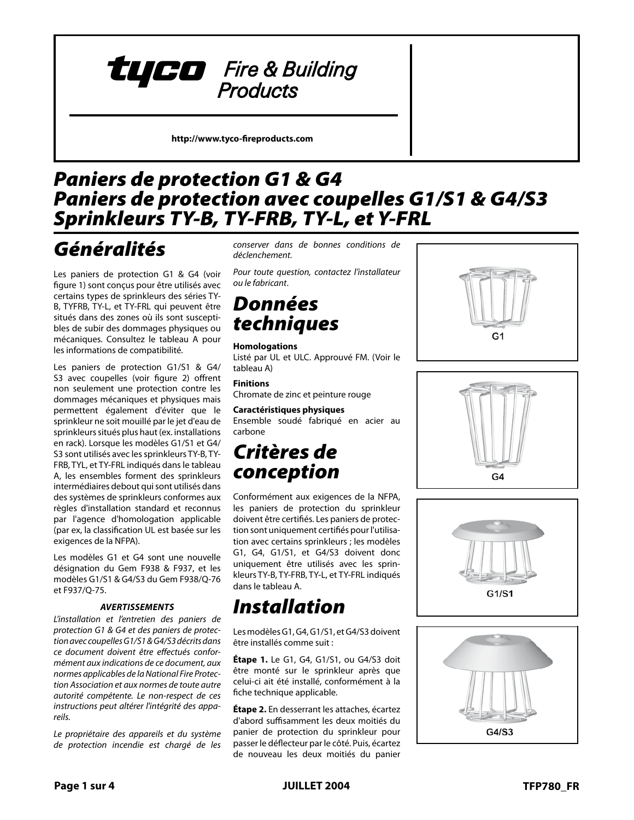

**http://www.tyco-fireproducts.com** 

# *Model G1 & G4 Sprinkler Guards Paniers de protection G1 & G4 Model G1/S1 & G4/S3 Guards with Shields Paniers de protection avec coupelles G1/S1 & G4/S3 Series TY-B, TY-FRB, TY-L, and TY-FRL Sprinklers Sprinkleurs TY-B, TY-FRB, TY-L, et Y-FRL*

# *General Généralités*

*Description* Les paniers de protection G1 & G4 (voir certains types de sprinkleurs des séries TY-B, TYFRB, TY-L, et TY-FRL qui peuvent être situés dans des zones où ils sont suscepti-FRB, TY-L, and TY-FRL Sprinklers that bles de subir des dommages physiques ou mécaniques. Consultez le tableau A pour  $t$  the camputed to mean  $\alpha$  because the susceptibility. les informations de compatibilité. figure 1) sont conçus pour être utilisés avec

Les paniers de protection G1/S1 & G4/ S3 avec coupelles (voir figure 2) offrent non seulement une protection contre les dommages mécaniques et physiques mais permettent également d'éviter que le .<br>sprinkleur ne soit mouillé par le jet d'eau de of higher elevation sprinklers (e.g., sprinkleurs situés plus haut (ex. installations rack storage sprinkler installations). en rack). Lorsque les modèles G1/S1 et G4/ when the G1/S1 and G1/S1 and G1/S1 and G1/S1 and G1/S1 and G1/S1 and G1/S1 and G1/S1 and G1/S1 and G1/S1 and G S3 sont utilisés avec les sprinkleurs TY-B, TY-FRB, TYL, et TY-FRL indiqués dans le tableau A, les ensembles forment des sprinkleurs intermédiaires debout qui sont utilisés dans des systèmes de sprinkleurs conformes aux règles d'installation standard et reconnus par l'agence d'homologation applicable par ex, la classification UL est basée sur les exigences de la NFPA).

 $T_{\rm eff}$  and  $G_4$  are a redesignation for  $T_{\rm eff}$ Les modèles G1 et G4 sont une nouvelle désignation du Gem F938 & F937, et les modèles G1/S1 & G4/S3 du Gem F938/Q-76 et F937/Q-75.

#### **WARNINGS** The Model G1 & G4 Sprinkler Guards *AVERTISSEMENTS*

L'installation et l'entretien des paniers de protection G1 & G4 et des paniers de protection avec coupelles G1/S1 & G4/S3 décrits dans ce document doivent être effectués conforwith the applicable standards of the *mément aux indications de ce document, aux*   $n_{\rm CIR}$  and  $n_{\rm CIR}$  are  $n_{\rm CIR}$  and  $n_{\rm CIR}$  are  $n_{\rm CIR}$  and  $n_{\rm CIR}$  are  $n_{\rm CIR}$ in addition to the standards of any *normes applicables de la National Fire Protec*other authorities having jurisdiction. *tion Association et aux normes de toute autre*  Failure to do so may impair the integ-*autorité compétente. Le non-respect de ces instructions peut altérer l'intégrité des appa-* $T$  owner is responsible for maintain*reils.* 

Le propriétaire des appareils et du système c propretant ats apparens et au system The installing contractor or manufac-*de protection incendie est chargé de les* 

*Technical déclenchement. conserver dans de bonnes conditions de* 

*Data Pour toute question, contactez l'installateur ou le fabricant*.

### **Approvals** UL and C-UL Listed. FM Approved. *Données*   $\mathbf{r}$  to  $\mathbf{r}$  to  $\mathbf{r}$ **Finishes** *techniques*

## **Homologations**

**Physical Characteristic Characteristics** Listé par UL et ULC. Approuvé FM. (Voir le<br>tableau A) tableau A)

### **Finitions**

Chromate de zinc et peinture rouge<br>Caractéristiques physiques

### **Caractéristiques physiques**

Ensemble soudé fabriqué en acier au of the NFPA, springler guards shall be shall be shall be shall be shall be shall be shall be shall be shall be

#### listed. Guards are only listed for use Critòrac da specifie di specifie di control di control di control di control di control di control di control G1, G4, G1/S1, and G4/S3 must only *Critères de*  ron*ro*ntion with the Series T TY-L, and TY-FRL Sprinklers shown in *conception*

Conformément aux exigences de la NFPA, les paniers de protection du sprinkleur<br>doivent être certifiés. Les paniers de protec-The Models Grand General General Grand Grand Grand Grand Grand Grand Grand Grand Grand Grand Grand Grand Grand<br>Contractor Grand Grand Grand Grand Grand Grand Grand Grand Grand Grand Grand Grand Grand Grand Grand Grand Gra tion avec certains sprinkleurs ; les modèles **Step 1.** The G1, G4, G1/S1, or G4/S3 kleurs TY-B, TY-FRB, TY-L, et TY-FRL indiqués dans le tableau A. les paniers de protection du sprinkleur tion sont uniquement certifiés pour l'utilisa-G1, G4, G1/S1, et G4/S3 doivent donc uniquement être utilisés avec les sprin-

### $\mathbf{c}$  and  $\mathbf{c}$  all at  $\mathbf{c}$  and  $\mathbf{c}$ **Installation**

**Step 2.** With the Clips loose, first Les modèles G1, G4, G1/S1, et G4/S3 doivent être installés comme suit :

 $\epsilon$  defector from the side of  $\epsilon$ **Étape 1.** Le G1, G4, G1/S1, ou G4/S3 doit être monté sur le sprinkleur après que celui-ci ait été installé, conformément à la fiche technique applicable.

portion of the sprinkler. (Refer to Table **Étape 2.** En desserrant les attaches, écartez statute 3. With the Step 3. With the Spring of the Spring of the Spring of the Spring of the Spring of the Spring <br>Spring of the Spring of the Spring of the Spring of the Spring of the Spring of the Spring of the Spring of panier de protection du sprinkleur pour passer le déflecteur par le côté. Puis, écartez de nouveau les deux moitiés du panier d'abord suffisamment les deux moitiés du







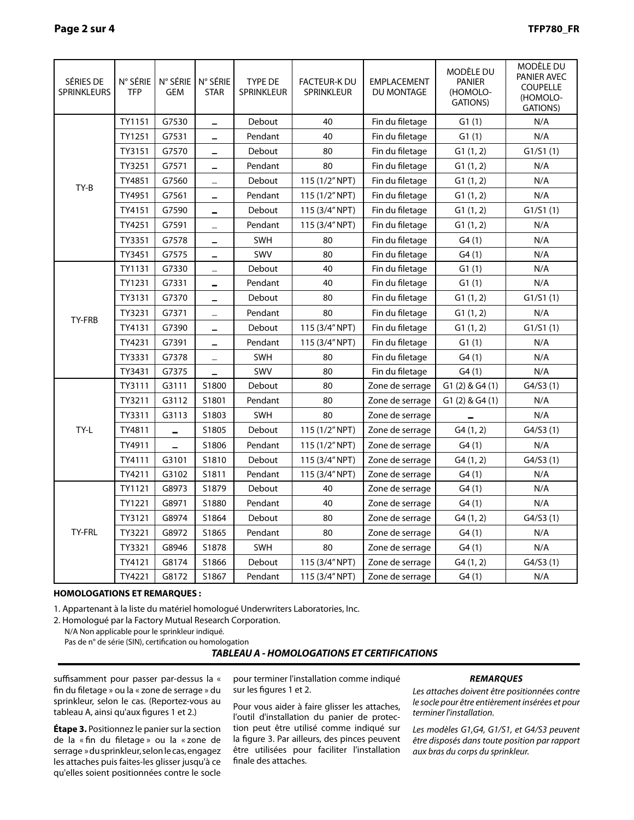| SÉRIES DE<br><b>SPRINKLEURS</b> | $N^{\circ}$ Série<br><b>TFP</b> | $N^{\circ}$ SÉRIE<br><b>GEM</b> | $N^{\circ}$ SÉRIE<br><b>STAR</b> | <b>TYPE DE</b><br>SPRINKLEUR | <b>FACTEUR-K DU</b><br>SPRINKLEUR | <b>EMPLACEMENT</b><br>DU MONTAGE | MODÈLE DU<br><b>PANIER</b><br>(HOMOLO-<br><b>GATIONS)</b> | MODÈLE DU<br>PANIER AVEC<br><b>COUPELLE</b><br>(HOMOLO-<br>GATIONS) |
|---------------------------------|---------------------------------|---------------------------------|----------------------------------|------------------------------|-----------------------------------|----------------------------------|-----------------------------------------------------------|---------------------------------------------------------------------|
| TY-B                            | TY1151                          | G7530                           | -                                | Debout                       | 40                                | Fin du filetage                  | G1(1)                                                     | N/A                                                                 |
|                                 | TY1251                          | G7531                           |                                  | Pendant                      | 40                                | Fin du filetage                  | G1(1)                                                     | N/A                                                                 |
|                                 | TY3151                          | G7570                           | $\overline{\phantom{0}}$         | <b>Debout</b>                | 80                                | Fin du filetage                  | G1(1, 2)                                                  | G1/S1(1)                                                            |
|                                 | TY3251                          | G7571                           | -                                | Pendant                      | 80                                | Fin du filetage                  | G1(1, 2)                                                  | N/A                                                                 |
|                                 | TY4851                          | G7560                           | $\qquad \qquad -$                | Debout                       | 115 (1/2" NPT)                    | Fin du filetage                  | G1(1, 2)                                                  | N/A                                                                 |
|                                 | TY4951                          | G7561                           | -                                | Pendant                      | 115 (1/2" NPT)                    | Fin du filetage                  | G1(1, 2)                                                  | N/A                                                                 |
|                                 | TY4151                          | G7590                           | -                                | Debout                       | 115 (3/4" NPT)                    | Fin du filetage                  | G1(1, 2)                                                  | G1/S1(1)                                                            |
|                                 | TY4251                          | G7591                           | $\equiv$                         | Pendant                      | 115 (3/4" NPT)                    | Fin du filetage                  | G1(1, 2)                                                  | N/A                                                                 |
|                                 | TY3351                          | G7578                           | $\overline{\phantom{0}}$         | <b>SWH</b>                   | 80                                | Fin du filetage                  | G4(1)                                                     | N/A                                                                 |
|                                 | TY3451                          | G7575                           | $\overline{\phantom{0}}$         | SWV                          | 80                                | Fin du filetage                  | G4(1)                                                     | N/A                                                                 |
| TY-FRB                          | TY1131                          | G7330                           | $\equiv$                         | Debout                       | 40                                | Fin du filetage                  | G1(1)                                                     | N/A                                                                 |
|                                 | TY1231                          | G7331                           | -                                | Pendant                      | 40                                | Fin du filetage                  | G1(1)                                                     | N/A                                                                 |
|                                 | TY3131                          | G7370                           |                                  | Debout                       | 80                                | Fin du filetage                  | G1(1, 2)                                                  | G1/S1(1)                                                            |
|                                 | TY3231                          | G7371                           | $\overline{\phantom{0}}$         | Pendant                      | 80                                | Fin du filetage                  | G1(1, 2)                                                  | N/A                                                                 |
|                                 | TY4131                          | G7390                           |                                  | Debout                       | 115 (3/4" NPT)                    | Fin du filetage                  | G1(1, 2)                                                  | G1/S1(1)                                                            |
|                                 | TY4231                          | G7391                           |                                  | Pendant                      | 115 (3/4" NPT)                    | Fin du filetage                  | G1(1)                                                     | N/A                                                                 |
|                                 | TY3331                          | G7378                           | $\overline{\phantom{0}}$         | SWH                          | 80                                | Fin du filetage                  | G4(1)                                                     | N/A                                                                 |
|                                 | TY3431                          | G7375                           |                                  | SWV                          | 80                                | Fin du filetage                  | G4(1)                                                     | N/A                                                                 |
| TY-L                            | TY3111                          | G3111                           | S1800                            | Debout                       | 80                                | Zone de serrage                  | G1(2) & G4(1)                                             | G4/S3(1)                                                            |
|                                 | TY3211                          | G3112                           | S1801                            | Pendant                      | 80                                | Zone de serrage                  | G1(2) & G4(1)                                             | N/A                                                                 |
|                                 | TY3311                          | G3113                           | S1803                            | <b>SWH</b>                   | 80                                | Zone de serrage                  |                                                           | N/A                                                                 |
|                                 | TY4811                          | -                               | S1805                            | Debout                       | 115 (1/2" NPT)                    | Zone de serrage                  | G4(1, 2)                                                  | G4/S3(1)                                                            |
|                                 | TY4911                          | $\equiv$                        | S1806                            | Pendant                      | 115 (1/2" NPT)                    | Zone de serrage                  | G4(1)                                                     | N/A                                                                 |
|                                 | TY4111                          | G3101                           | S1810                            | Debout                       | 115 (3/4" NPT)                    | Zone de serrage                  | G4(1, 2)                                                  | G4/S3(1)                                                            |
|                                 | TY4211                          | G3102                           | S1811                            | Pendant                      | 115 (3/4" NPT)                    | Zone de serrage                  | G4(1)                                                     | N/A                                                                 |
| TY-FRL                          | TY1121                          | G8973                           | S1879                            | Debout                       | 40                                | Zone de serrage                  | G4(1)                                                     | N/A                                                                 |
|                                 | TY1221                          | G8971                           | S1880                            | Pendant                      | 40                                | Zone de serrage                  | G4(1)                                                     | N/A                                                                 |
|                                 | TY3121                          | G8974                           | S1864                            | Debout                       | 80                                | Zone de serrage                  | G4(1, 2)                                                  | G4/S3(1)                                                            |
|                                 | TY3221                          | G8972                           | S1865                            | Pendant                      | 80                                | Zone de serrage                  | G4(1)                                                     | N/A                                                                 |
|                                 | TY3321                          | G8946                           | S1878                            | <b>SWH</b>                   | 80                                | Zone de serrage                  | G4(1)                                                     | N/A                                                                 |
|                                 | TY4121                          | G8174                           | S1866                            | Debout                       | 115 (3/4" NPT)                    | Zone de serrage                  | G4(1, 2)                                                  | G4/S3(1)                                                            |
|                                 | TY4221                          | G8172                           | S1867                            | Pendant                      | 115 (3/4" NPT)                    | Zone de serrage                  | G4(1)                                                     | N/A                                                                 |

#### LOGAI IONS ET KEMARQUES : 1. **HOMOLOGATIONS ET REMARQUES :**

1. Appartenant à la liste du matériel homologué Underwriters Laboratories, Inc. Noted in the form of the springler.

2. Homologué par la Factory Mutual Research Corporation.

N/A Non applicable pour le sprinkleur indiqué.

**TABLE A — LABORATORY LISTINGS AND APPROVALS** Pas de n° de série (SIN), certification ou homologation

*TABLEAU A - HOMOLOGATIONS ET CERTIFICATIONS* 

suffisamment pour passer par-dessus la « fin du filetage » ou la « zone de serrage » du 2. sprinkleur, selon le cas. (Reportez-vous au tableau A, ainsi qu'aux figures 1 et 2.)

t<br>Clippe 2 Decitionnes le papier sur la section **Étape 3.** Positionnez le panier sur la section de la « fin du filetage » ou la « zone de serrage » du sprinkleur, selon le cas, engagez<br>. les attaches puis faites-les glisser jusqu'à ce qu'elles soient positionnées contre le socle

pour terminer l'installation comme indiqué sur les figures 1 et 2.

in order to be considered fully seated Pour vous aider à faire glisser les attaches, l'outil d'installation du panier de protection peut être utilisé comme indiqué sur la figure 3. Par ailleurs, des pinces peuvent être utilisées pour faciliter l'installation finale des attaches.

### *REMARQUES*

*Les attaches doivent être positionnées contre le socle pour être entièrement insérées et pour terminer l'installation.*

*Les modèles G1,G4, G1/S1, et G4/S3 peuvent être disposés dans toute position par rapport aux bras du corps du sprinkleur.*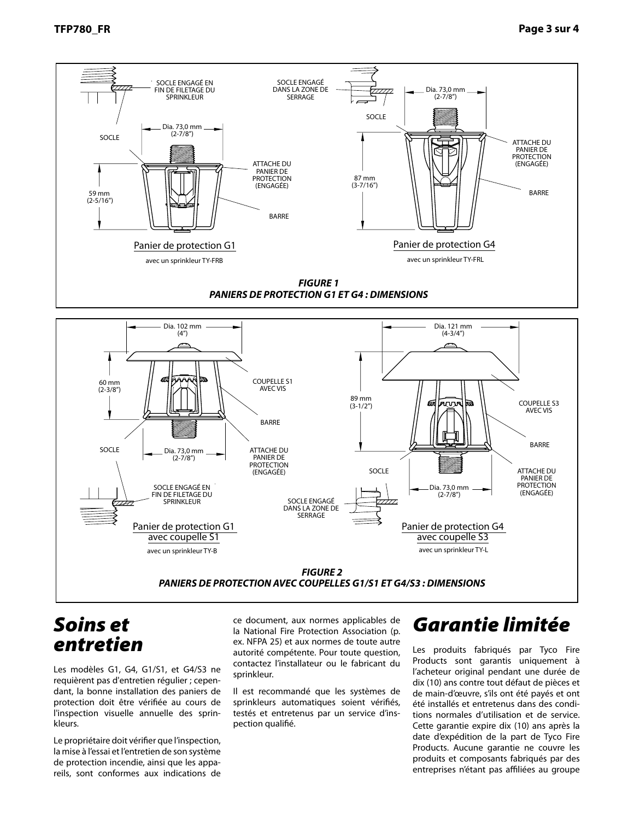

avec un sprinkleur TY-B  $\overline{\phantom{a}}$  avec un sprinkleur TY-L avec un sprinkleur TY-L



# *Care and Soins et Maintenance entretien*

Les modèles G1, G4, G1/S1, et G4/S3 ne Les modelles G1, G4, G1/51, et G4/55 neutre<br>requièrent pas d'entretien régulier ; cepenequierent pas d'entretien régulier , cepen dant, la bonne installation des paniers de protection doit être vérifiée au cours de l'inspection visuelle annuelle des sprinkleurs.

Le propriétaire doit vérifier que l'inspection, la mise à l'essai et l'entretien de son système de protection incendie, ainsi que les appareils, sont conformes aux indications de

ce document, aux normes applicables de la National Fire Protection Association (p. ex. NFPA 25) et aux normes de toute autre stational Fire Protection Counter the National Fire Protection autorité compétente. Pour toute question,<br>contentes l'installateur en la fabricant du contactez l'installateur ou le fabricant du authorities having jurisdiction. The in-

Il est recommandé que les systèmes de facturer showed be contacted relative to the contact relationship of the contact relationship of the contact r<br>International contact relationship of the contact relationship of the contact relationship of the contact rela sprinkleurs automatiques soient vérifiés, pection qualifié.  $s_{\rm{max}}$  systems before its inspected, i.e., i.e., i.e., i.e., i.e., i.e., i.e., i.e., i.e., i.e., i.e., i.e., i.e., i.e., i.e., i.e., i.e., i.e., i.e., i.e., i.e., i.e., i.e., i.e., i.e., i.e., i.e., i.e., i.e., i.e., i testés et entretenus par un service d'ins-

# *Limited Garantie limitée*

*Warranty* Les produits fabriqués par Tyco Fire Products some garantis uniquement of l'acheteur original pendant une durée de dix (10) ans contre tout défaut de pièces et de main-d'œuvre, s'ils ont été payés et ont été installés et entretenus dans des conditions normales d'utilisation et de service. Cette garantie expire dix (10) ans après la date d'expédition de la part de Tyco Fire ment by Tycomorre de la part de 1,900 met<br>Products. Aucune garantie ne couvre les rroducts. Algebre garante ne courre les Products sont garantis uniquement à entreprises n'étant pas affiliées au groupe